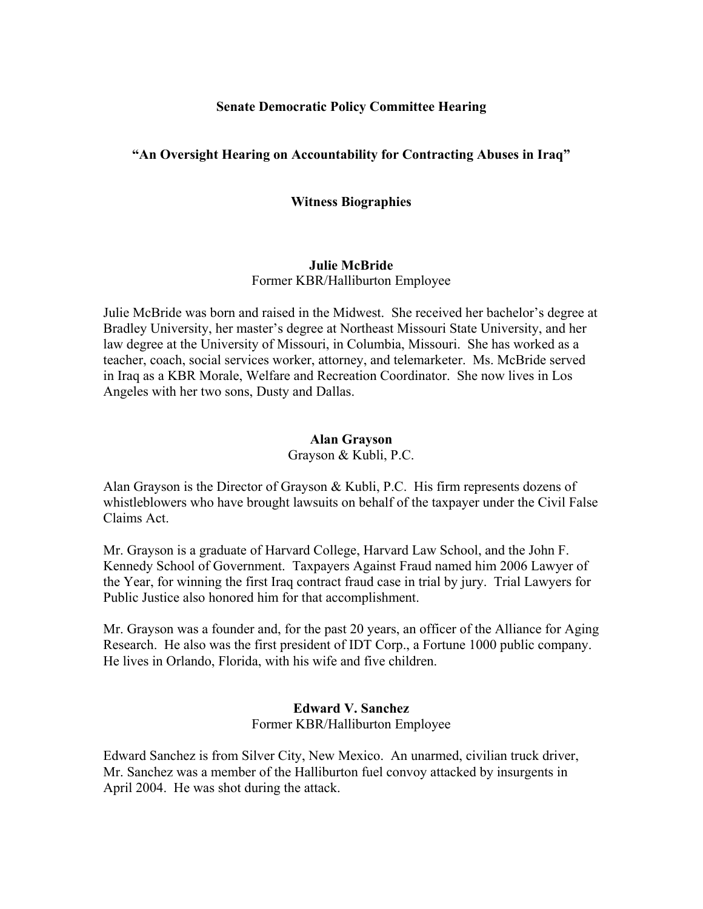### **Senate Democratic Policy Committee Hearing**

## **"An Oversight Hearing on Accountability for Contracting Abuses in Iraq"**

#### **Witness Biographies**

# **Julie McBride**

Former KBR/Halliburton Employee

Julie McBride was born and raised in the Midwest. She received her bachelor's degree at Bradley University, her master's degree at Northeast Missouri State University, and her law degree at the University of Missouri, in Columbia, Missouri. She has worked as a teacher, coach, social services worker, attorney, and telemarketer. Ms. McBride served in Iraq as a KBR Morale, Welfare and Recreation Coordinator. She now lives in Los Angeles with her two sons, Dusty and Dallas.

#### **Alan Grayson**

Grayson & Kubli, P.C.

Alan Grayson is the Director of Grayson & Kubli, P.C. His firm represents dozens of whistleblowers who have brought lawsuits on behalf of the taxpayer under the Civil False Claims Act.

Mr. Grayson is a graduate of Harvard College, Harvard Law School, and the John F. Kennedy School of Government. Taxpayers Against Fraud named him 2006 Lawyer of the Year, for winning the first Iraq contract fraud case in trial by jury. Trial Lawyers for Public Justice also honored him for that accomplishment.

Mr. Grayson was a founder and, for the past 20 years, an officer of the Alliance for Aging Research. He also was the first president of IDT Corp., a Fortune 1000 public company. He lives in Orlando, Florida, with his wife and five children.

#### **Edward V. Sanchez**  Former KBR/Halliburton Employee

Edward Sanchez is from Silver City, New Mexico. An unarmed, civilian truck driver, Mr. Sanchez was a member of the Halliburton fuel convoy attacked by insurgents in April 2004. He was shot during the attack.